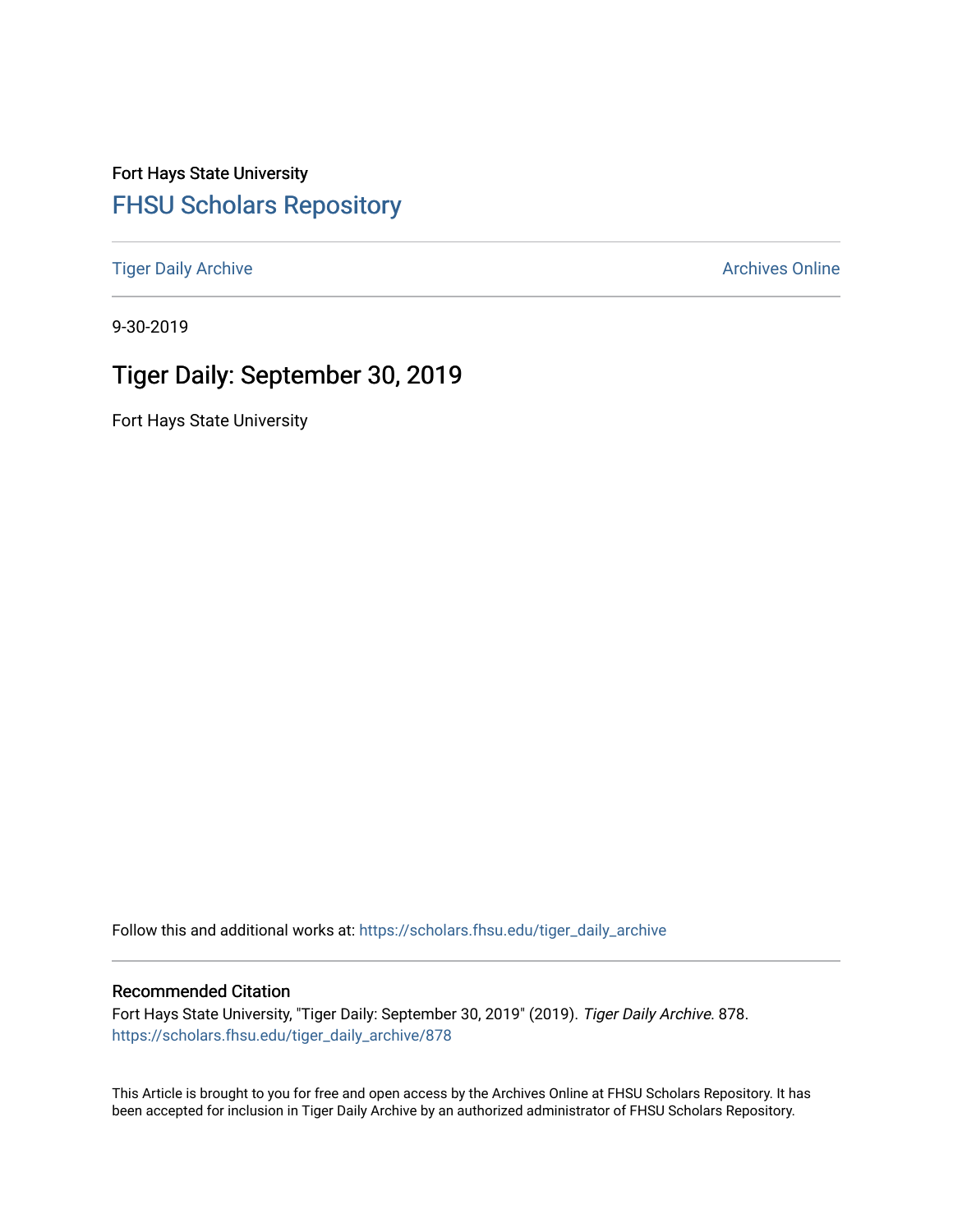Fort Hays State University [FHSU Scholars Repository](https://scholars.fhsu.edu/) 

[Tiger Daily Archive](https://scholars.fhsu.edu/tiger_daily_archive) **Archives** Online Archives Online

9-30-2019

# Tiger Daily: September 30, 2019

Fort Hays State University

Follow this and additional works at: [https://scholars.fhsu.edu/tiger\\_daily\\_archive](https://scholars.fhsu.edu/tiger_daily_archive?utm_source=scholars.fhsu.edu%2Ftiger_daily_archive%2F878&utm_medium=PDF&utm_campaign=PDFCoverPages)

#### Recommended Citation

Fort Hays State University, "Tiger Daily: September 30, 2019" (2019). Tiger Daily Archive. 878. [https://scholars.fhsu.edu/tiger\\_daily\\_archive/878](https://scholars.fhsu.edu/tiger_daily_archive/878?utm_source=scholars.fhsu.edu%2Ftiger_daily_archive%2F878&utm_medium=PDF&utm_campaign=PDFCoverPages)

This Article is brought to you for free and open access by the Archives Online at FHSU Scholars Repository. It has been accepted for inclusion in Tiger Daily Archive by an authorized administrator of FHSU Scholars Repository.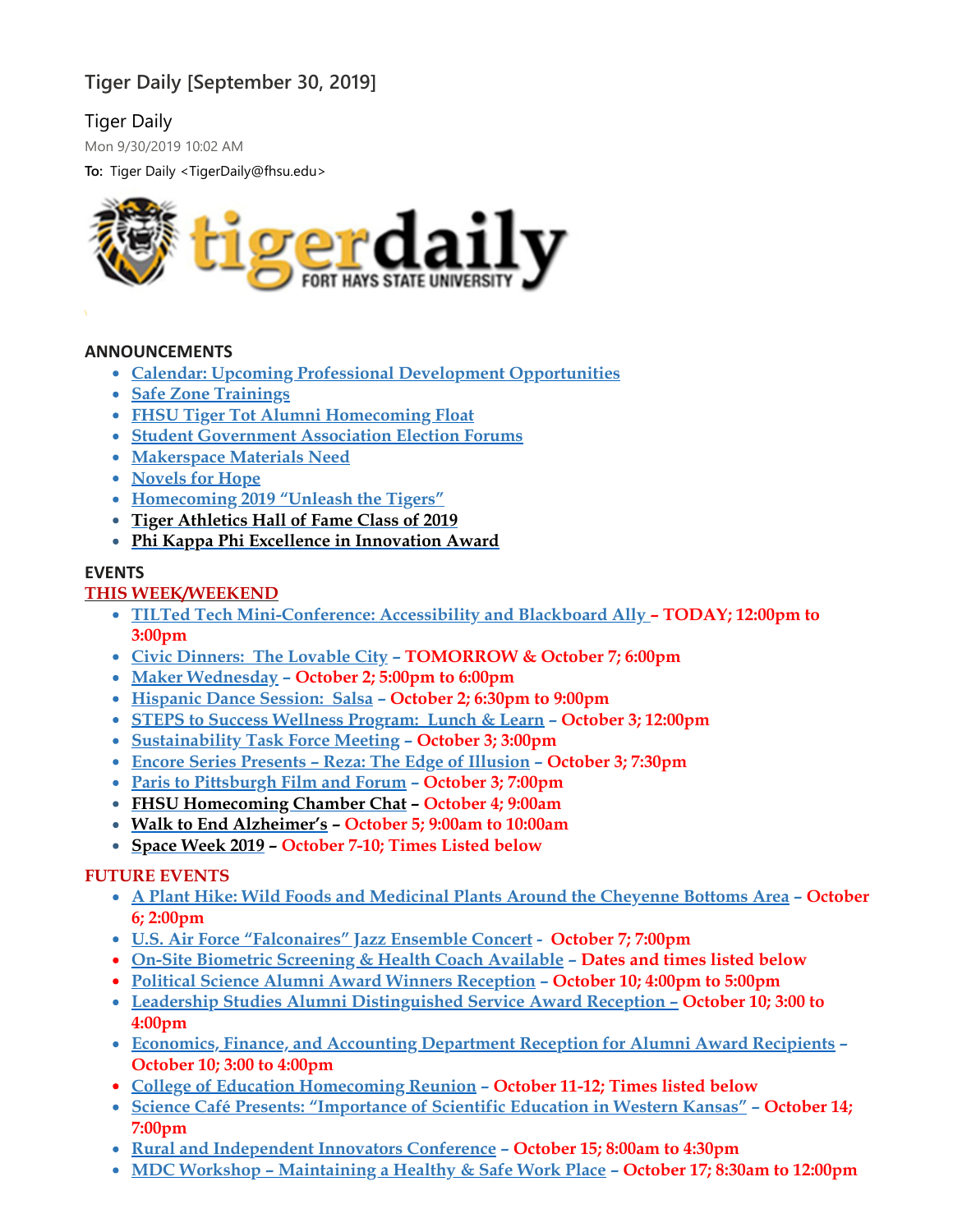# **Tiger Daily [September 30, 2019]**

# Tiger Daily

Mon 9/30/2019 10:02 AM

**To:** Tiger Daily <TigerDaily@fhsu.edu>



### **ANNOUNCEMENTS**

- **Calendar: Upcoming Professional Development [Opportunities](#page-2-0)**
- **Safe Zone [Trainings](#page-2-1)**
- **FHSU Tiger Tot Alumni [Homecoming](#page-2-2) Float**
- **Student [Government](#page-3-0) Association Election Forums**
- **[Makerspace](#page-3-1) Materials Need**
- **[Novels](#page-3-2) for Hope**
- **[Homecoming](#page-3-3) 2019 "Unleash the Tigers"**
- **Tiger [Athletics](#page-3-4) Hall of Fame Class of 2019**
- **Phi Kappa Phi Excellence in [Innovation](#page-4-0) Award**

### **EVENTS**

## **THIS WEEK/WEEKEND**

- **TILTed Tech [Mini-Conference:](#page-4-1) Accessibility and Blackboard Ally – TODAY; 12:00pm to 3:00pm**
- **Civic [Dinners:](#page-5-0) The Lovable City – TOMORROW & October 7; 6:00pm**
- **Maker [Wednesday](#page-5-1) – October 2; 5:00pm to 6:00pm**
- **[Hispanic](#page-5-2) Dance Session: Salsa – October 2; 6:30pm to 9:00pm**
- **STEPS to Success [Wellness](#page-6-0) Program: Lunch & Learn – October 3; 12:00pm**
- **[Sustainability](#page-6-1) Task Force Meeting – October 3; 3:00pm**
- **Encore Series [Presents](#page-6-2) – Reza: The Edge of Illusion – October 3; 7:30pm**
- **Paris to [Pittsburgh](#page-6-3) Film and Forum – October 3; 7:00pm**
- **FHSU [Homecoming](#page-7-0) Chamber Chat – October 4; 9:00am**
- **Walk to End [Alzheimer's](#page-7-1) – October 5; 9:00am to 10:00am**
- **[Space](#page-4-2) Week 2019 – October 7-10; Times Listed below**

### **FUTURE EVENTS**

- **A Plant Hike: Wild Foods and [Medicinal](#page-7-2) Plants Around the Cheyenne Bottoms Area – October 6; 2:00pm**
- **U.S. Air Force ["Falconaires"](#page-7-3) Jazz Ensemble Concert - October 7; 7:00pm**
- **On-Site Biometric [Screening](#page-8-0) & Health Coach Available – Dates and times listed below**
- **Political Science Alumni Award Winners [Reception](#page-9-0) – October 10; 4:00pm to 5:00pm**
- **Leadership Studies Alumni [Distinguished](#page-10-0) Service Award Reception – October 10; 3:00 to 4:00pm**
- **Economics, Finance, and Accounting [Department](#page-9-1) Reception for Alumni Award Recipients – October 10; 3:00 to 4:00pm**
- **College of Education [Homecoming](#page-10-1) Reunion – October 11-12; Times listed below**
- **Science Café Presents: ["Importance](#page-5-3) of Scientific Education in Western Kansas" – October 14; 7:00pm**
- **Rural and [Independent](#page-8-1) Innovators Conference – October 15; 8:00am to 4:30pm**
- **MDC Workshop – [Maintaining](#page-10-2) a Healthy & Safe Work Place – October 17; 8:30am to 12:00pm**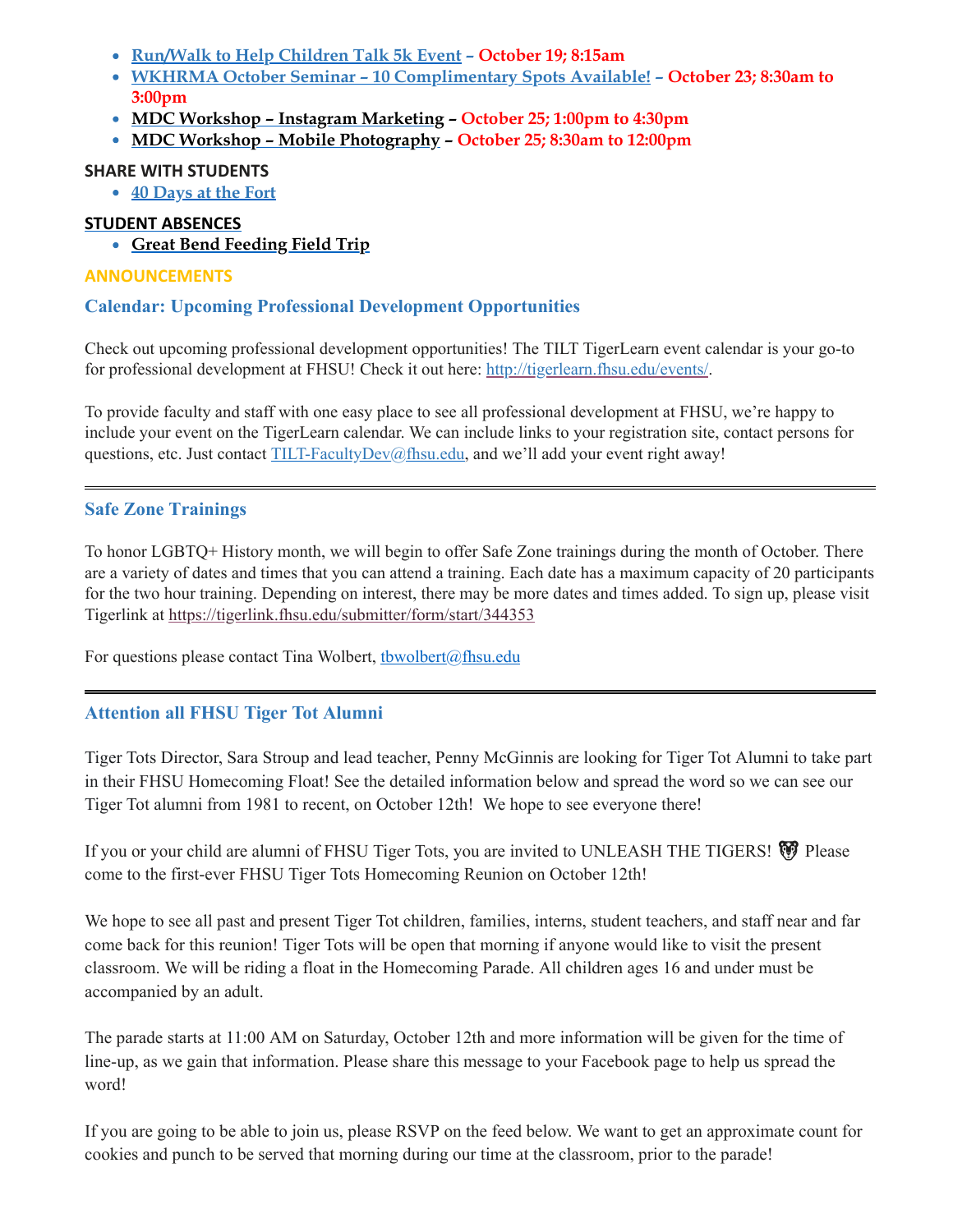- **[Run/Walk](#page-10-3) to Help Children Talk 5k Event – October 19; 8:15am**
- **WKHRMA October Seminar – 10 [Complimentary](#page-8-2) Spots Available! – October 23; 8:30am to 3:00pm**
- **MDC Workshop – Instagram [Marketing](#page-11-0) – October 25; 1:00pm to 4:30pm**
- **MDC Workshop – Mobile [Photography](#page-11-1) – October 25; 8:30am to 12:00pm**

## **SHARE WITH STUDENTS**

**40 [Days](#page-12-0) at the Fort**

## **STUDENT ABSENCES**

<span id="page-2-0"></span>**Great Bend [Feeding](#page-12-1) Field Trip**

## **ANNOUNCEMENTS**

## **Calendar: Upcoming Professional Development Opportunities**

Check out upcoming professional development opportunities! The TILT TigerLearn event calendar is your go-to for professional development at FHSU! Check it out here: [http://tigerlearn.fhsu.edu/events/.](http://tigerlearn.fhsu.edu/events/)

To provide faculty and staff with one easy place to see all professional development at FHSU, we're happy to include your event on the TigerLearn calendar. We can include links to your registration site, contact persons for questions, etc. Just contact [TILT-FacultyDev@fhsu.edu,](mailto:TILT-FacultyDev@fhsu.edu) and we'll add your event right away!

# <span id="page-2-1"></span>**Safe Zone Trainings**

To honor LGBTQ+ History month, we will begin to offer Safe Zone trainings during the month of October. There are a variety of dates and times that you can attend a training. Each date has a maximum capacity of 20 participants for the two hour training. Depending on interest, there may be more dates and times added. To sign up, please visit Tigerlink at <https://tigerlink.fhsu.edu/submitter/form/start/344353>

For questions please contact Tina Wolbert, thwolbert@fhsu.edu

# <span id="page-2-2"></span>**Attention all FHSU Tiger Tot Alumni**

Tiger Tots Director, Sara Stroup and lead teacher, Penny McGinnis are looking for Tiger Tot Alumni to take part in their FHSU Homecoming Float! See the detailed information below and spread the word so we can see our Tiger Tot alumni from 1981 to recent, on October 12th! We hope to see everyone there!

If you or your child are alumni of FHSU Tiger Tots, you are invited to UNLEASH THE TIGERS! come to the first-ever FHSU Tiger Tots Homecoming Reunion on October 12th!

We hope to see all past and present Tiger Tot children, families, interns, student teachers, and staff near and far come back for this reunion! Tiger Tots will be open that morning if anyone would like to visit the present classroom. We will be riding a float in the Homecoming Parade. All children ages 16 and under must be accompanied by an adult.

The parade starts at 11:00 AM on Saturday, October 12th and more information will be given for the time of line-up, as we gain that information. Please share this message to your Facebook page to help us spread the word!

If you are going to be able to join us, please RSVP on the feed below. We want to get an approximate count for cookies and punch to be served that morning during our time at the classroom, prior to the parade!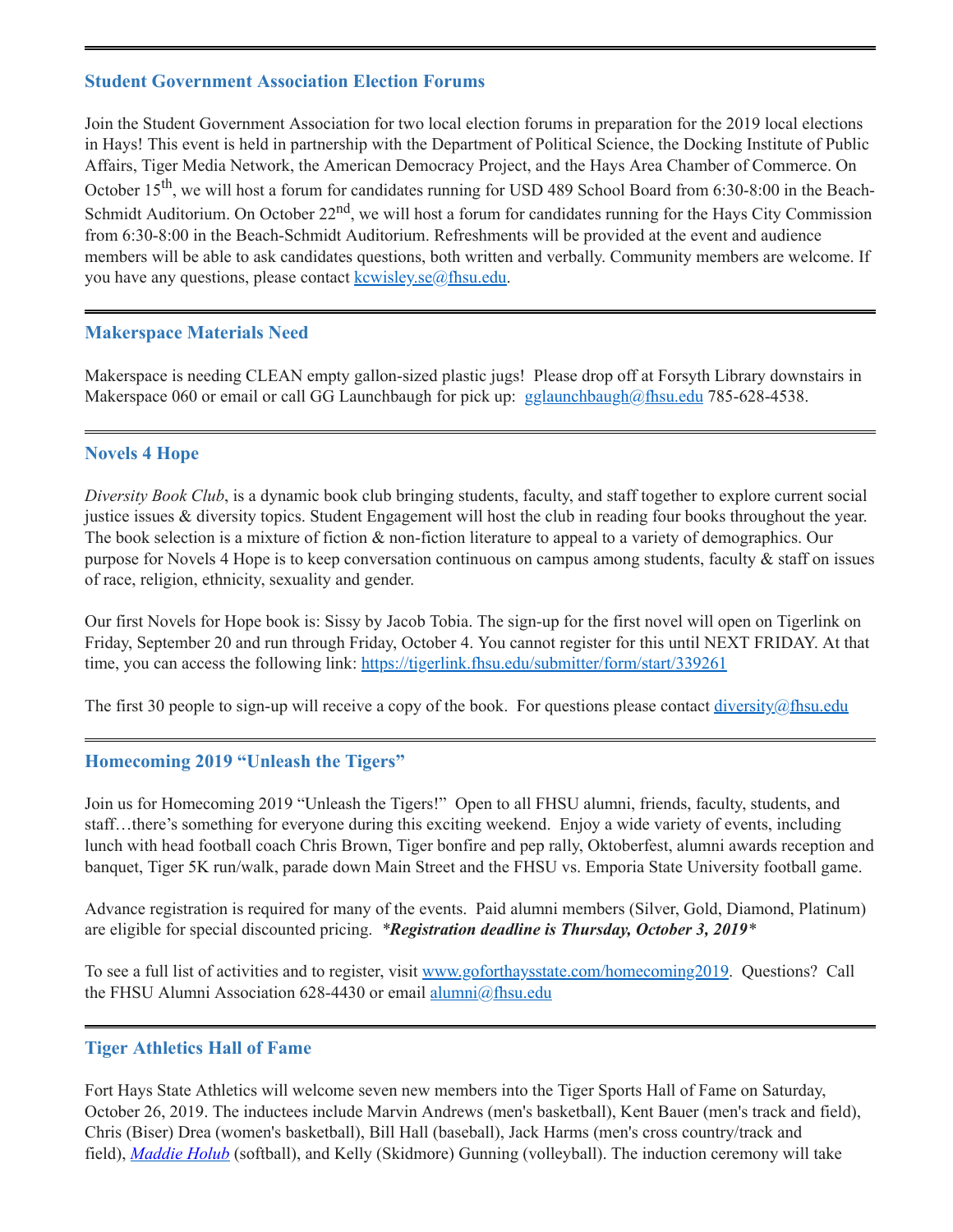#### <span id="page-3-0"></span>**Student Government Association Election Forums**

Join the Student Government Association for two local election forums in preparation for the 2019 local elections in Hays! This event is held in partnership with the Department of Political Science, the Docking Institute of Public Affairs, Tiger Media Network, the American Democracy Project, and the Hays Area Chamber of Commerce. On October 15<sup>th</sup>, we will host a forum for candidates running for USD 489 School Board from 6:30-8:00 in the Beach-Schmidt Auditorium. On October 22<sup>nd</sup>, we will host a forum for candidates running for the Hays City Commission from 6:30-8:00 in the Beach-Schmidt Auditorium. Refreshments will be provided at the event and audience members will be able to ask candidates questions, both written and verbally. Community members are welcome. If you have any questions, please contact  $k$ cwisley.se $\omega$ fhsu.edu.

### <span id="page-3-1"></span>**Makerspace Materials Need**

Makerspace is needing CLEAN empty gallon-sized plastic jugs! Please drop off at Forsyth Library downstairs in Makerspace 060 or email or call GG Launchbaugh for pick up: [gglaunchbaugh@fhsu.edu](mailto:gglaunchbaugh@fhsu.edu) 785-628-4538.

### <span id="page-3-2"></span>**Novels 4 Hope**

*Diversity Book Club*, is a dynamic book club bringing students, faculty, and staff together to explore current social justice issues & diversity topics. Student Engagement will host the club in reading four books throughout the year. The book selection is a mixture of fiction & non-fiction literature to appeal to a variety of demographics. Our purpose for Novels 4 Hope is to keep conversation continuous on campus among students, faculty & staff on issues of race, religion, ethnicity, sexuality and gender.

Our first Novels for Hope book is: Sissy by Jacob Tobia. The sign-up for the first novel will open on Tigerlink on Friday, September 20 and run through Friday, October 4. You cannot register for this until NEXT FRIDAY. At that time, you can access the following link: <https://tigerlink.fhsu.edu/submitter/form/start/339261>

The first 30 people to sign-up will receive a copy of the book. For questions please contact  $\frac{diversity}{a}$ fhsu.edu

#### <span id="page-3-3"></span>**Homecoming 2019 "Unleash the Tigers"**

Join us for Homecoming 2019 "Unleash the Tigers!" Open to all FHSU alumni, friends, faculty, students, and staff...there's something for everyone during this exciting weekend. Enjoy a wide variety of events, including lunch with head football coach Chris Brown, Tiger bonfire and pep rally, Oktoberfest, alumni awards reception and banquet, Tiger 5K run/walk, parade down Main Street and the FHSU vs. Emporia State University football game.

Advance registration is required for many of the events. Paid alumni members (Silver, Gold, Diamond, Platinum) are eligible for special discounted pricing. *\*Registration deadline is Thursday, October 3, 2019\**

To see a full list of activities and to register, visit [www.goforthaysstate.com/homecoming2019.](http://www.goforthaysstate.com/homecoming2019) Questions? Call the FHSU Alumni Association 628-4430 or email [alumni@fhsu.edu](mailto:alumni@fhsu.edu)

#### <span id="page-3-4"></span>**Tiger Athletics Hall of Fame**

Fort Hays State Athletics will welcome seven new members into the Tiger Sports Hall of Fame on Saturday, October 26, 2019. The inductees include Marvin Andrews (men's basketball), Kent Bauer (men's track and field), Chris (Biser) Drea (women's basketball), Bill Hall (baseball), Jack Harms (men's cross country/track and field), *[Maddie](https://fhsuathletics.com/roster.aspx?rp_id=703) Holub* (softball), and Kelly (Skidmore) Gunning (volleyball). The induction ceremony will take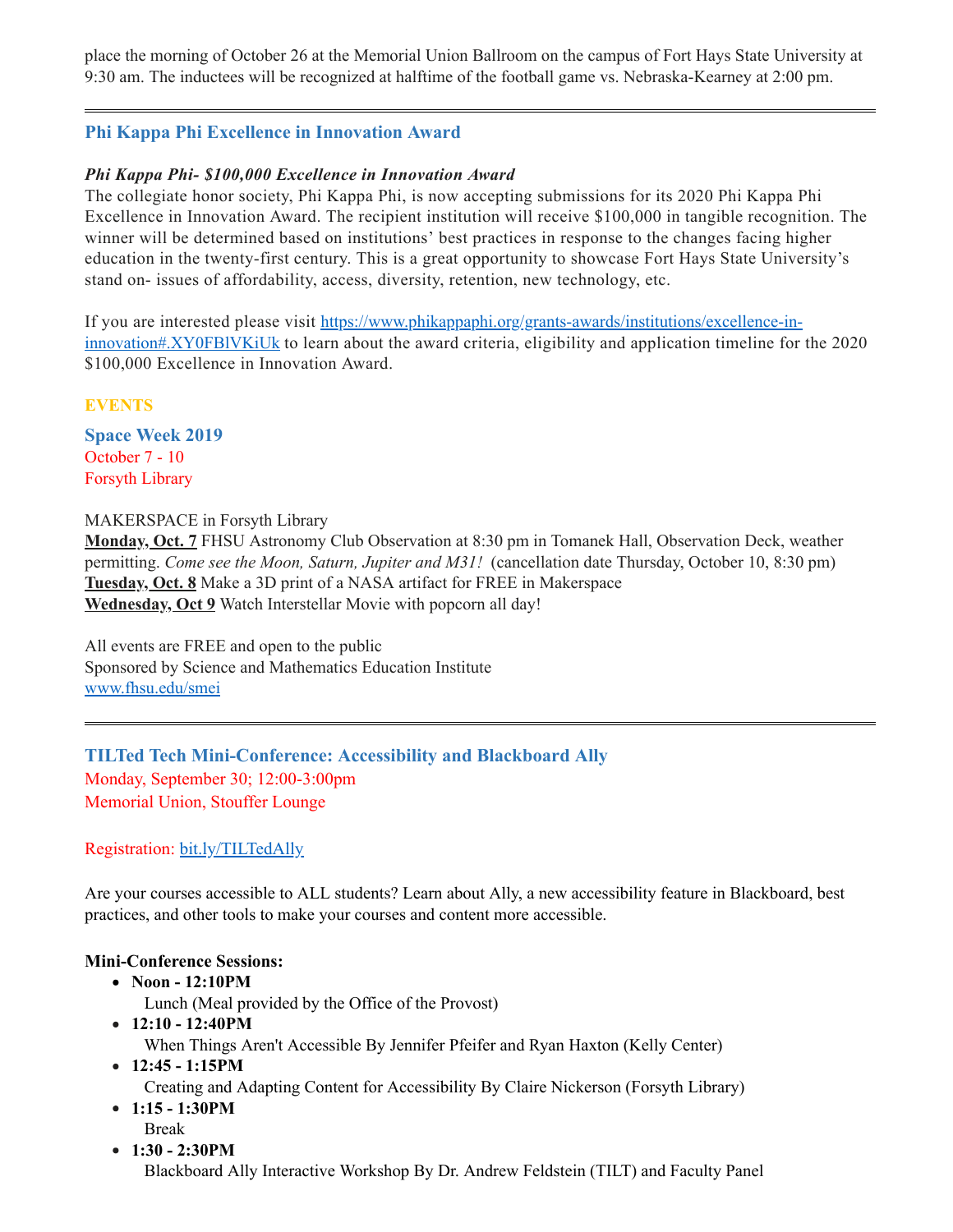place the morning of October 26 at the Memorial Union Ballroom on the campus of Fort Hays State University at 9:30 am. The inductees will be recognized at halftime of the football game vs. Nebraska-Kearney at 2:00 pm.

# <span id="page-4-0"></span>**Phi Kappa Phi Excellence in Innovation Award**

## *Phi Kappa Phi- \$100,000 Excellence in Innovation Award*

The collegiate honor society, Phi Kappa Phi, is now accepting submissions for its 2020 Phi Kappa Phi Excellence in Innovation Award. The recipient institution will receive \$100,000 in tangible recognition. The winner will be determined based on institutions' best practices in response to the changes facing higher education in the twenty-first century. This is a great opportunity to showcase Fort Hays State University's stand on- issues of affordability, access, diversity, retention, new technology, etc.

If you are interested please visit [https://www.phikappaphi.org/grants-awards/institutions/excellence-in](https://www.phikappaphi.org/grants-awards/institutions/excellence-in-innovation#.XY0FBlVKiUk)innovation#.XY0FBlVKiUk to learn about the award criteria, eligibility and application timeline for the 2020 \$100,000 Excellence in Innovation Award.

**EVENTS**

<span id="page-4-2"></span>**Space Week 2019**  October 7 - 10 Forsyth Library

#### MAKERSPACE in Forsyth Library

**Monday, Oct. 7** FHSU Astronomy Club Observation at 8:30 pm in Tomanek Hall, Observation Deck, weather permitting. *Come see the Moon, Saturn, Jupiter and M31!* (cancellation date Thursday, October 10, 8:30 pm) **Tuesday, Oct. 8** Make a 3D print of a NASA artifact for FREE in Makerspace **Wednesday, Oct 9** Watch Interstellar Movie with popcorn all day!

All events are FREE and open to the public Sponsored by Science and Mathematics Education Institute [www.fhsu.edu/smei](http://www.fhsu.edu/smei)

<span id="page-4-1"></span>**TILTed Tech Mini-Conference: Accessibility and Blackboard Ally** Monday, September 30; 12:00-3:00pm Memorial Union, Stouffer Lounge

### Registration: [bit.ly/TILTedAlly](http://bit.ly/TILTedAlly)

Are your courses accessible to ALL students? Learn about Ally, a new accessibility feature in Blackboard, best practices, and other tools to make your courses and content more accessible.

### **Mini-Conference Sessions:**

**Noon - 12:10PM**

Lunch (Meal provided by the Office of the Provost)

- **12:10 - 12:40PM** When Things Aren't Accessible By Jennifer Pfeifer and Ryan Haxton (Kelly Center)
- **12:45 - 1:15PM**

Creating and Adapting Content for Accessibility By Claire Nickerson (Forsyth Library)

- **1:15 - 1:30PM** Break
- **1:30 - 2:30PM**

Blackboard Ally Interactive Workshop By Dr. Andrew Feldstein (TILT) and Faculty Panel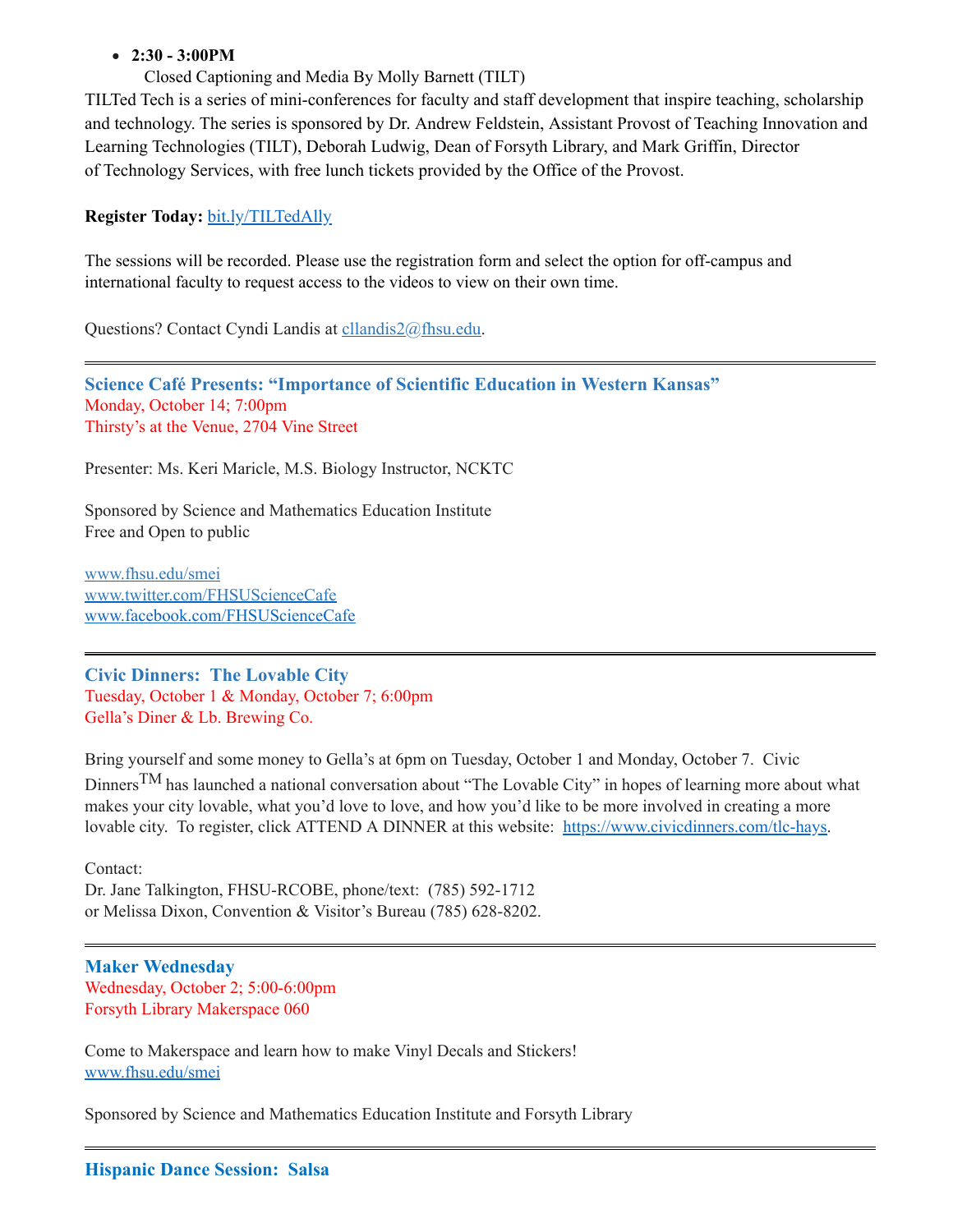### **2:30 - 3:00PM**

Closed Captioning and Media By Molly Barnett (TILT)

TILTed Tech is a series of mini-conferences for faculty and staff development that inspire teaching, scholarship and technology. The series is sponsored by Dr. Andrew Feldstein, Assistant Provost of Teaching Innovation and Learning Technologies (TILT), Deborah Ludwig, Dean of Forsyth Library, and Mark Griffin, Director of Technology Services, with free lunch tickets provided by the Office of the Provost.

#### **Register Today:** [bit.ly/TILTedAlly](http://bit.ly/TILTedAlly)

The sessions will be recorded. Please use the registration form and select the option for off-campus and international faculty to request access to the videos to view on their own time.

Questions? Contact Cyndi Landis at [cllandis2@fhsu.edu.](mailto:cllandis2@fhsu.edu)

<span id="page-5-3"></span>**Science Café Presents: "Importance of Scientific Education in Western Kansas"** Monday, October 14; 7:00pm Thirsty's at the Venue, 2704 Vine Street

Presenter: Ms. Keri Maricle, M.S. Biology Instructor, NCKTC

Sponsored by Science and Mathematics Education Institute Free and Open to public

[www.fhsu.edu/smei](http://www.fhsu.edu/smei) [www.twitter.com/FHSUScienceCafe](http://www.twitter.com/FHSUScienceCafe) [www.facebook.com/FHSUScienceCafe](http://www.facebook.com/FHSUScienceCafe)

<span id="page-5-0"></span>**Civic Dinners: The Lovable City** Tuesday, October 1 & Monday, October 7; 6:00pm Gella's Diner & Lb. Brewing Co.

Bring yourself and some money to Gella's at 6pm on Tuesday, October 1 and Monday, October 7. Civic Dinners<sup>TM</sup> has launched a national conversation about "The Lovable City" in hopes of learning more about what makes your city lovable, what you'd love to love, and how you'd like to be more involved in creating a more lovable city. To register, click ATTEND A DINNER at this website: [https://www.civicdinners.com/tlc-hays.](https://www.civicdinners.com/tlc-hays)

Contact: Dr. Jane Talkington, FHSU-RCOBE, phone/text: (785) 592-1712 or Melissa Dixon, Convention & Visitor's Bureau (785) 628-8202.

<span id="page-5-1"></span>**Maker Wednesday** Wednesday, October 2; 5:00-6:00pm Forsyth Library Makerspace 060

Come to Makerspace and learn how to make Vinyl Decals and Stickers! [www.fhsu.edu/smei](http://www.fhsu.edu/smei)

<span id="page-5-2"></span>Sponsored by Science and Mathematics Education Institute and Forsyth Library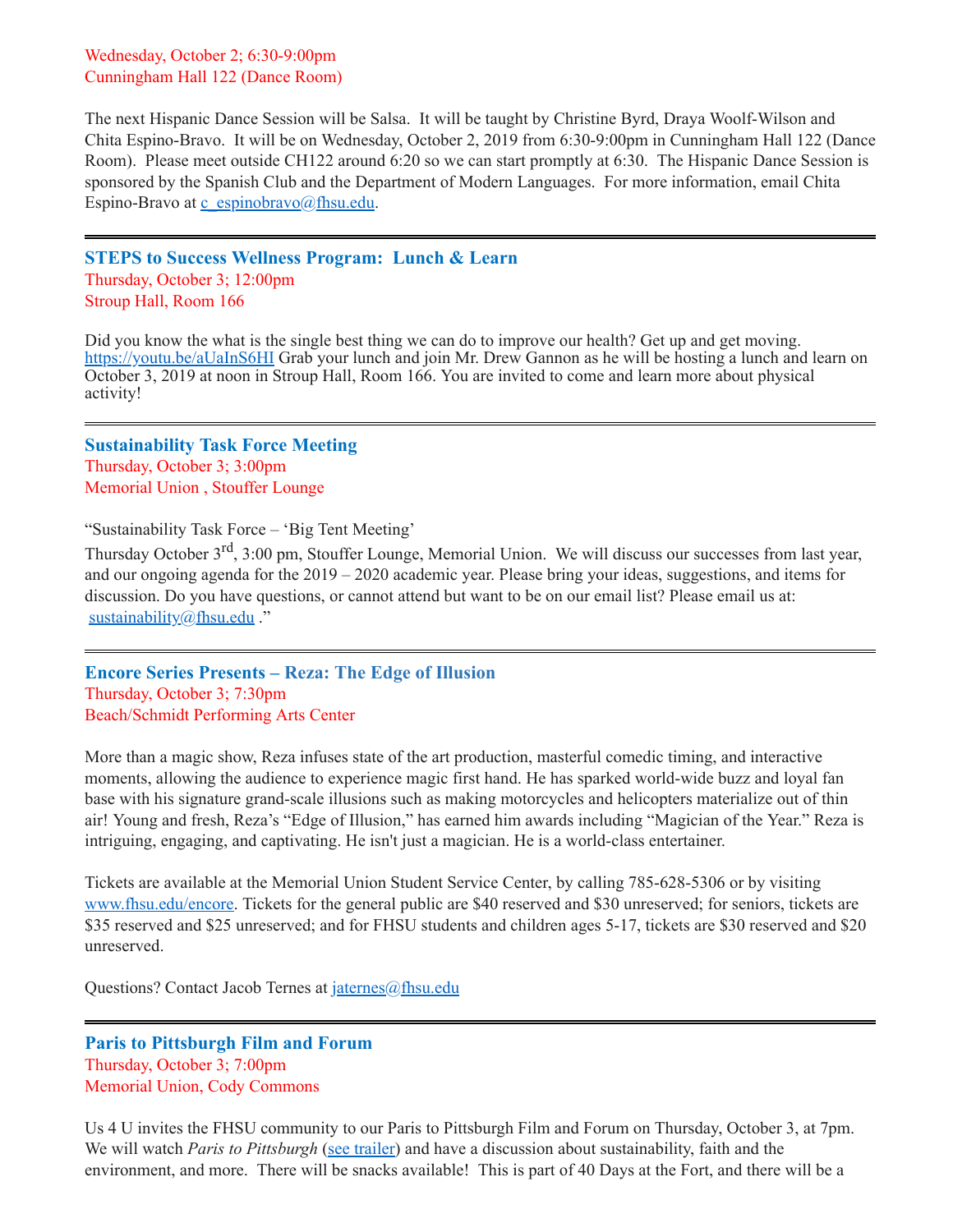Wednesday, October 2; 6:30-9:00pm Cunningham Hall 122 (Dance Room)

The next Hispanic Dance Session will be Salsa. It will be taught by Christine Byrd, Draya Woolf-Wilson and Chita Espino-Bravo. It will be on Wednesday, October 2, 2019 from 6:30-9:00pm in Cunningham Hall 122 (Dance Room). Please meet outside CH122 around 6:20 so we can start promptly at 6:30. The Hispanic Dance Session is sponsored by the Spanish Club and the Department of Modern Languages. For more information, email Chita Espino-Bravo at [c\\_espinobravo@fhsu.edu](mailto:c_espinobravo@fhsu.edu).

<span id="page-6-0"></span>**STEPS to Success Wellness Program: Lunch & Learn** Thursday, October 3; 12:00pm Stroup Hall, Room 166

Did you know the what is the single best thing we can do to improve our health? Get up and get moving. <https://youtu.be/aUaInS6HI> Grab your lunch and join Mr. Drew Gannon as he will be hosting a lunch and learn on October 3, 2019 at noon in Stroup Hall, Room 166. You are invited to come and learn more about physical activity!

<span id="page-6-1"></span>**Sustainability Task Force Meeting** Thursday, October 3; 3:00pm Memorial Union , Stouffer Lounge

"Sustainability Task Force – 'Big Tent Meeting'

Thursday October 3<sup>rd</sup>, 3:00 pm, Stouffer Lounge, Memorial Union. We will discuss our successes from last year, and our ongoing agenda for the 2019 – 2020 academic year. Please bring your ideas, suggestions, and items for discussion. Do you have questions, or cannot attend but want to be on our email list? Please email us at: [sustainability@fhsu.edu](mailto:sustainability@fhsu.edu) ."

<span id="page-6-2"></span>**Encore Series Presents – Reza: The Edge of Illusion** Thursday, October 3; 7:30pm Beach/Schmidt Performing Arts Center

More than a magic show, Reza infuses state of the art production, masterful comedic timing, and interactive moments, allowing the audience to experience magic first hand. He has sparked world-wide buzz and loyal fan base with his signature grand-scale illusions such as making motorcycles and helicopters materialize out of thin air! Young and fresh, Reza's "Edge of Illusion," has earned him awards including "Magician of the Year." Reza is intriguing, engaging, and captivating. He isn't just a magician. He is a world-class entertainer.

Tickets are available at the Memorial Union Student Service Center, by calling 785-628-5306 or by visiting [www.fhsu.edu/encore](http://www.fhsu.edu/encore). Tickets for the general public are \$40 reserved and \$30 unreserved; for seniors, tickets are \$35 reserved and \$25 unreserved; and for FHSU students and children ages 5-17, tickets are \$30 reserved and \$20 unreserved.

Questions? Contact Jacob Ternes at [jaternes@fhsu.edu](mailto:jaternes@fhsu.edu)

## <span id="page-6-3"></span>**Paris to Pittsburgh Film and Forum** Thursday, October 3; 7:00pm Memorial Union, Cody Commons

Us 4 U invites the FHSU community to our Paris to Pittsburgh Film and Forum on Thursday, October 3, at 7pm. We will watch *Paris to Pittsburgh* (see [trailer\)](https://www.youtube.com/watch?v=sFznn8FNRbU) and have a discussion about sustainability, faith and the environment, and more. There will be snacks available! This is part of 40 Days at the Fort, and there will be a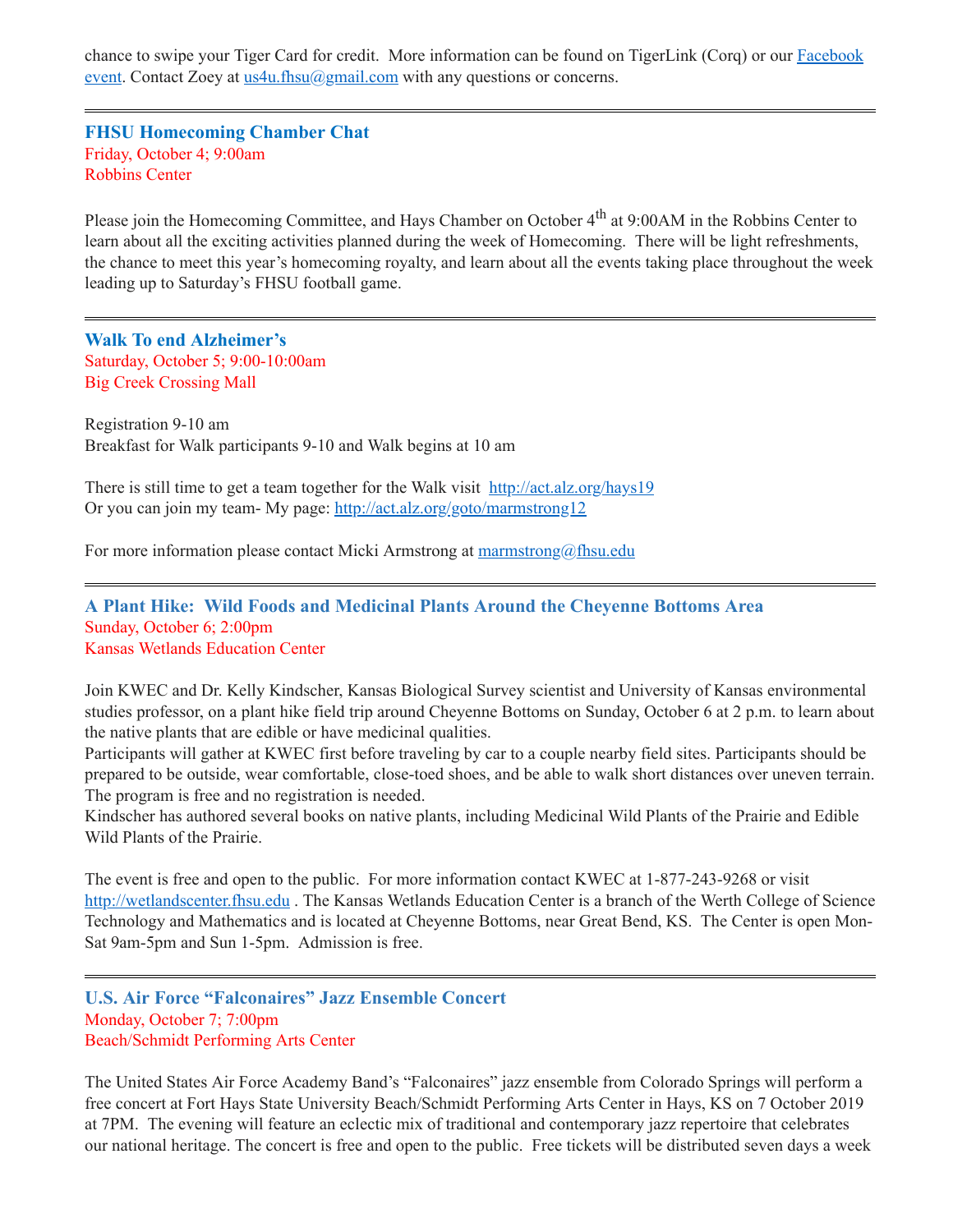chance to swipe your Tiger Card for credit. More information can be found on TigerLink (Corq) or our Facebook event. Contact Zoey at [us4u.fhsu@gmail.com](https://www.facebook.com/events/417934365485381/) with any questions or concerns.

<span id="page-7-0"></span>**FHSU Homecoming Chamber Chat** Friday, October 4; 9:00am Robbins Center

Please join the Homecoming Committee, and Hays Chamber on October 4<sup>th</sup> at 9:00AM in the Robbins Center to learn about all the exciting activities planned during the week of Homecoming. There will be light refreshments, the chance to meet this year's homecoming royalty, and learn about all the events taking place throughout the week leading up to Saturday's FHSU football game.

<span id="page-7-1"></span>**Walk To end Alzheimer's** Saturday, October 5; 9:00-10:00am Big Creek Crossing Mall

Registration 9-10 am Breakfast for Walk participants 9-10 and Walk begins at 10 am

There is still time to get a team together for the Walk visit <http://act.alz.org/hays19> Or you can join my team- My page: <http://act.alz.org/goto/marmstrong12>

For more information please contact Micki Armstrong at [marmstrong@fhsu.edu](mailto:marmstrong@fhsu.edu)

<span id="page-7-2"></span>**A Plant Hike: Wild Foods and Medicinal Plants Around the Cheyenne Bottoms Area** Sunday, October 6; 2:00pm Kansas Wetlands Education Center

Join KWEC and Dr. Kelly Kindscher, Kansas Biological Survey scientist and University of Kansas environmental studies professor, on a plant hike field trip around Cheyenne Bottoms on Sunday, October 6 at 2 p.m. to learn about the native plants that are edible or have medicinal qualities.

Participants will gather at KWEC first before traveling by car to a couple nearby field sites. Participants should be prepared to be outside, wear comfortable, close-toed shoes, and be able to walk short distances over uneven terrain. The program is free and no registration is needed.

Kindscher has authored several books on native plants, including Medicinal Wild Plants of the Prairie and Edible Wild Plants of the Prairie.

The event is free and open to the public. For more information contact KWEC at 1-877-243-9268 or visit [http://wetlandscenter.fhsu.edu](http://wetlandscenter.fhsu.edu/) . The Kansas Wetlands Education Center is a branch of the Werth College of Science Technology and Mathematics and is located at Cheyenne Bottoms, near Great Bend, KS. The Center is open Mon-Sat 9am-5pm and Sun 1-5pm. Admission is free.

<span id="page-7-3"></span>**U.S. Air Force "Falconaires" Jazz Ensemble Concert** Monday, October 7; 7:00pm Beach/Schmidt Performing Arts Center

The United States Air Force Academy Band's "Falconaires" jazz ensemble from Colorado Springs will perform a free concert at Fort Hays State University Beach/Schmidt Performing Arts Center in Hays, KS on 7 October 2019 at 7PM. The evening will feature an eclectic mix of traditional and contemporary jazz repertoire that celebrates our national heritage. The concert is free and open to the public. Free tickets will be distributed seven days a week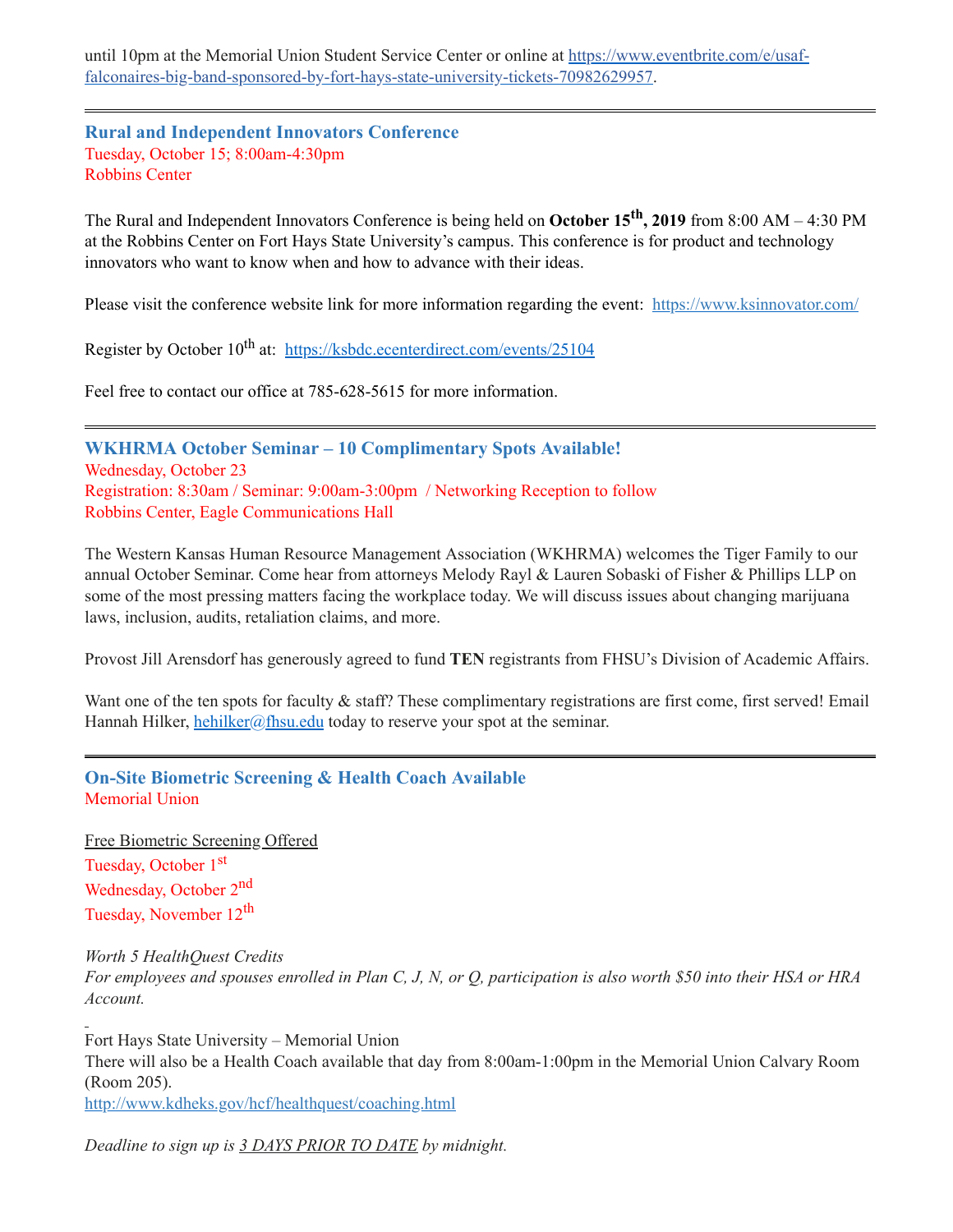until 10pm at the Memorial Union Student Service Center or online at https://www.eventbrite.com/e/usaf[falconaires-big-band-sponsored-by-fort-hays-state-university-tickets-70982629957.](https://www.eventbrite.com/e/usaf-falconaires-big-band-sponsored-by-fort-hays-state-university-tickets-70982629957)

<span id="page-8-1"></span>**Rural and Independent Innovators Conference** Tuesday, October 15; 8:00am-4:30pm Robbins Center

The Rural and Independent Innovators Conference is being held on **October 15 th , 2019** from 8:00 AM – 4:30 PM at the Robbins Center on Fort Hays State University's campus. This conference is for product and technology innovators who want to know when and how to advance with their ideas.

Please visit the conference website link for more information regarding the event: [https://www.ksinnovator.com/](https://linkprotect.cudasvc.com/url?a=https%3a%2f%2fwww.ksinnovator.com%2f&c=E,1,VmjRgormpxBBwnH0rotD4QTRl5JXVsVpT5lDsDRIxeQjZM9QtBPyYRn-Nbro7QLgMS3uD1KyfOBYrnVhuDyqC2edXlbzdCu1z5tqRlqNNlA9zc5GTQ,,&typo=1)

Register by October 10<sup>th</sup> at: <https://ksbdc.ecenterdirect.com/events/25104>

Feel free to contact our office at 785-628-5615 for more information.

<span id="page-8-2"></span>**WKHRMA October Seminar – 10 Complimentary Spots Available!** Wednesday, October 23 Registration: 8:30am / Seminar: 9:00am-3:00pm / Networking Reception to follow Robbins Center, Eagle Communications Hall

The Western Kansas Human Resource Management Association (WKHRMA) welcomes the Tiger Family to our annual October Seminar. Come hear from attorneys Melody Rayl & Lauren Sobaski of Fisher & Phillips LLP on some of the most pressing matters facing the workplace today. We will discuss issues about changing marijuana laws, inclusion, audits, retaliation claims, and more.

Provost Jill Arensdorf has generously agreed to fund **TEN** registrants from FHSU's Division of Academic Affairs.

Want one of the ten spots for faculty & staff? These complimentary registrations are first come, first served! Email Hannah Hilker, [hehilker@fhsu.edu](mailto:hehilker@fhsu.edu) today to reserve your spot at the seminar.

<span id="page-8-0"></span>**On-Site Biometric Screening & Health Coach Available** Memorial Union

Free Biometric Screening Offered Tuesday, October 1<sup>st</sup> Wednesday, October 2<sup>nd</sup> Tuesday, November 12<sup>th</sup>

*Worth 5 HealthQuest Credits* For employees and spouses enrolled in Plan C, J, N, or Q, participation is also worth \$50 into their HSA or HRA *Account.*

Fort Hays State University – Memorial Union There will also be a Health Coach available that day from 8:00am-1:00pm in the Memorial Union Calvary Room (Room 205). <http://www.kdheks.gov/hcf/healthquest/coaching.html>

*Deadline to sign up is 3 DAYS PRIOR TO DATE by midnight.*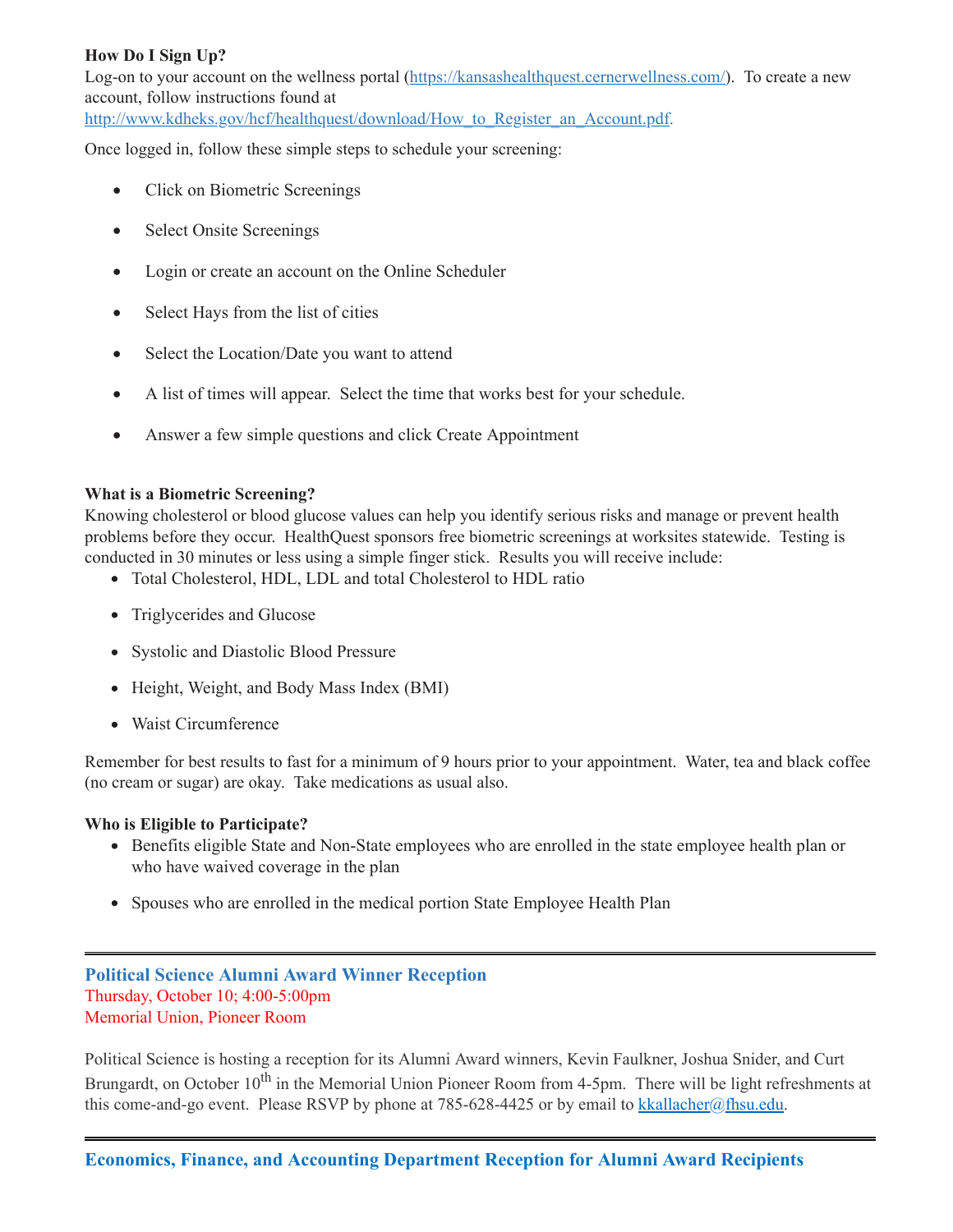## **How Do I Sign Up?**

Log-on to your account on the wellness portal [\(https://kansashealthquest.cernerwellness.com/](https://kansashealthquest.cernerwellness.com/)). To create a new account, follow instructions found at

[http://www.kdheks.gov/hcf/healthquest/download/How\\_to\\_Register\\_an\\_Account.pdf](http://www.kdheks.gov/hcf/healthquest/download/How_to_Register_an_Account.pdf).

Once logged in, follow these simple steps to schedule your screening:

- Click on Biometric Screenings
- · Select Onsite Screenings
- · Login or create an account on the Online Scheduler
- Select Hays from the list of cities
- Select the Location/Date you want to attend
- · A list of times will appear. Select the time that works best for your schedule.
- Answer a few simple questions and click Create Appointment

#### **What is a Biometric Screening?**

Knowing cholesterol or blood glucose values can help you identify serious risks and manage or prevent health problems before they occur. HealthQuest sponsors free biometric screenings at worksites statewide. Testing is conducted in 30 minutes or less using a simple finger stick. Results you will receive include:

- Total Cholesterol, HDL, LDL and total Cholesterol to HDL ratio
- Triglycerides and Glucose
- Systolic and Diastolic Blood Pressure
- Height, Weight, and Body Mass Index (BMI)
- Waist Circumference

Remember for best results to fast for a minimum of 9 hours prior to your appointment. Water, tea and black coffee (no cream or sugar) are okay. Take medications as usual also.

#### **Who is Eligible to Participate?**

- Benefits eligible State and Non-State employees who are enrolled in the state employee health plan or who have waived coverage in the plan
- <span id="page-9-0"></span>• Spouses who are enrolled in the medical portion State Employee Health Plan

## **Political Science Alumni Award Winner Reception** Thursday, October 10; 4:00-5:00pm Memorial Union, Pioneer Room

<span id="page-9-1"></span>Political Science is hosting a reception for its Alumni Award winners, Kevin Faulkner, Joshua Snider, and Curt Brungardt, on October 10<sup>th</sup> in the Memorial Union Pioneer Room from 4-5pm. There will be light refreshments at this come-and-go event. Please RSVP by phone at 785-628-4425 or by email to [kkallacher@fhsu.edu.](mailto:kkallacher@fhsu.edu)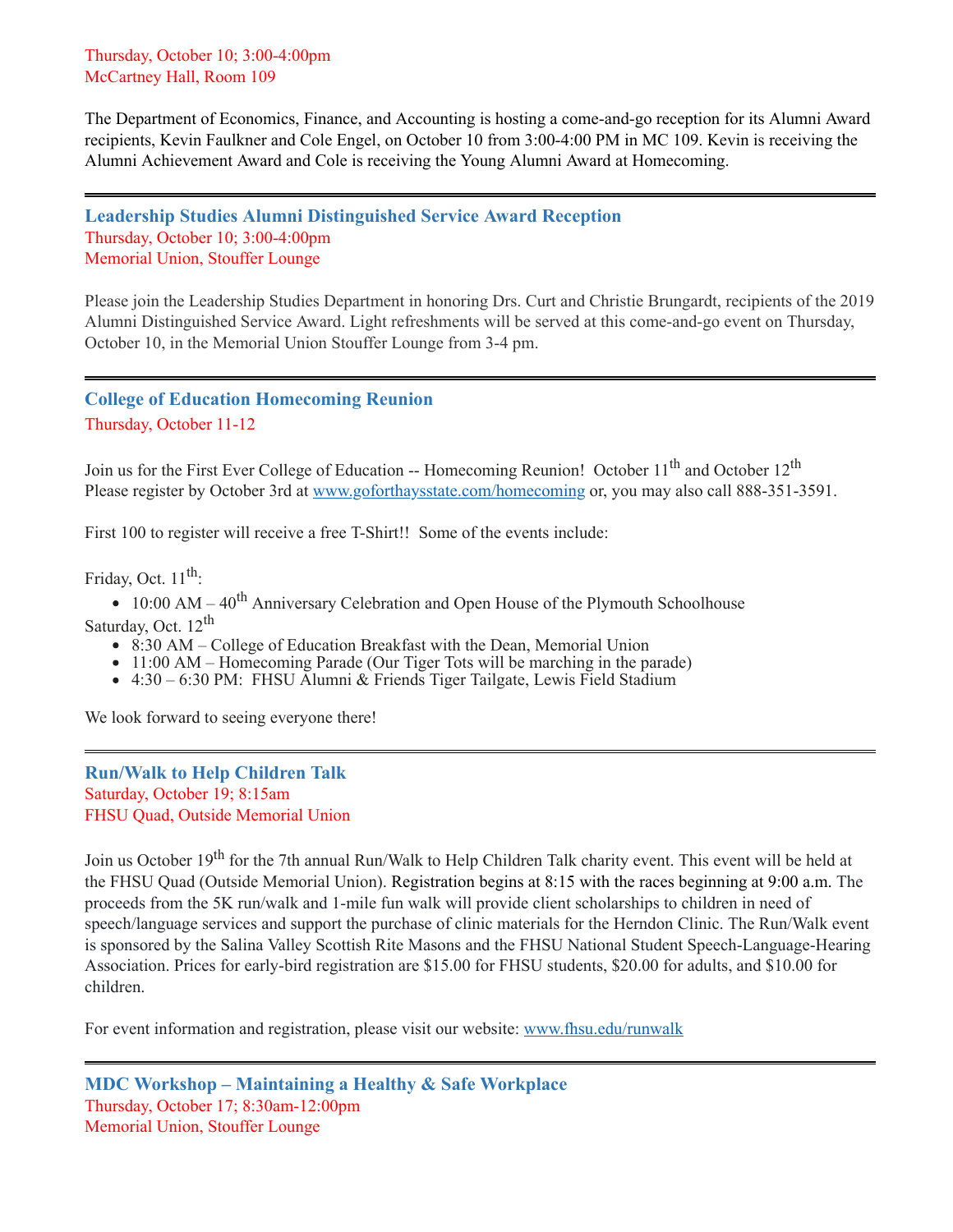Thursday, October 10; 3:00-4:00pm McCartney Hall, Room 109

The Department of Economics, Finance, and Accounting is hosting a come-and-go reception for its Alumni Award recipients, Kevin Faulkner and Cole Engel, on October 10 from 3:00-4:00 PM in MC 109. Kevin is receiving the Alumni Achievement Award and Cole is receiving the Young Alumni Award at Homecoming.

<span id="page-10-0"></span>**Leadership Studies Alumni Distinguished Service Award Reception** Thursday, October 10; 3:00-4:00pm Memorial Union, Stouffer Lounge

Please join the Leadership Studies Department in honoring Drs. Curt and Christie Brungardt, recipients of the 2019 Alumni Distinguished Service Award. Light refreshments will be served at this come-and-go event on Thursday, October 10, in the Memorial Union Stouffer Lounge from 3-4 pm.

## <span id="page-10-1"></span>**College of Education Homecoming Reunion** Thursday, October 11-12

Join us for the First Ever College of Education -- Homecoming Reunion! October 11<sup>th</sup> and October 12<sup>th</sup> Please register by October 3rd at [www.goforthaysstate.com/homecoming](http://www.goforthaysstate.com/homecoming) or, you may also call 888-351-3591.

First 100 to register will receive a free T-Shirt!! Some of the events include:

Friday, Oct. 11<sup>th</sup>:

10:00 AM – 40<sup>th</sup> Anniversary Celebration and Open House of the Plymouth Schoolhouse Saturday, Oct. 12<sup>th</sup>

- 8:30 AM College of Education Breakfast with the Dean, Memorial Union
- 11:00 AM Homecoming Parade (Our Tiger Tots will be marching in the parade)
- 4:30 6:30 PM: FHSU Alumni & Friends Tiger Tailgate, Lewis Field Stadium

We look forward to seeing everyone there!

<span id="page-10-3"></span>**Run/Walk to Help Children Talk** Saturday, October 19; 8:15am FHSU Quad, Outside Memorial Union

Join us October 19<sup>th</sup> for the 7th annual Run/Walk to Help Children Talk charity event. This event will be held at the FHSU Quad (Outside Memorial Union). Registration begins at 8:15 with the races beginning at 9:00 a.m. The proceeds from the 5K run/walk and 1-mile fun walk will provide client scholarships to children in need of speech/language services and support the purchase of clinic materials for the Herndon Clinic. The Run/Walk event is sponsored by the Salina Valley Scottish Rite Masons and the FHSU National Student Speech-Language-Hearing Association. Prices for early-bird registration are \$15.00 for FHSU students, \$20.00 for adults, and \$10.00 for children.

<span id="page-10-2"></span>For event information and registration, please visit our website: [www.fhsu.edu/runwalk](http://www.fhsu.edu/runwalk)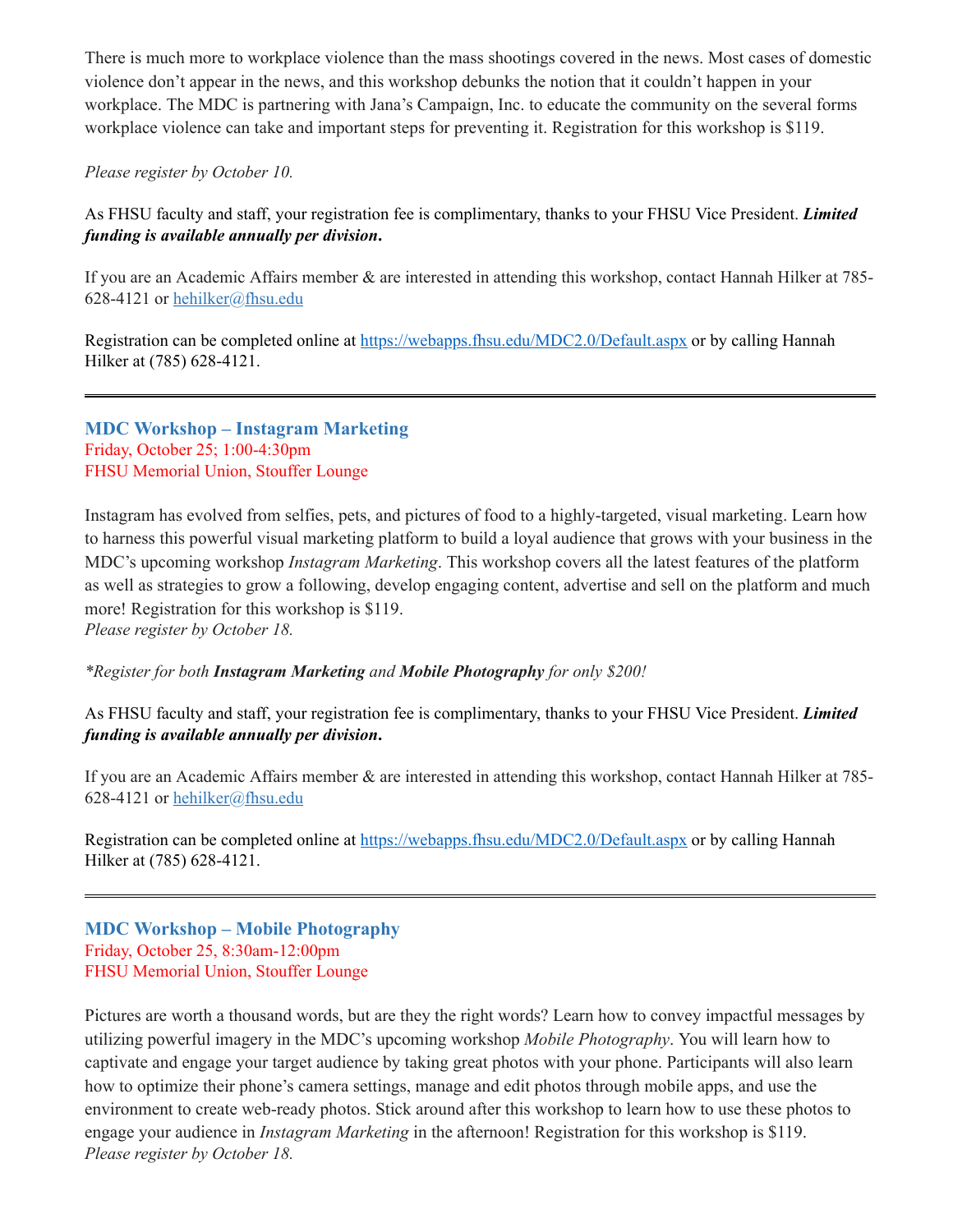There is much more to workplace violence than the mass shootings covered in the news. Most cases of domestic violence don't appear in the news, and this workshop debunks the notion that it couldn't happen in your workplace. The MDC is partnering with Jana's Campaign, Inc. to educate the community on the several forms workplace violence can take and important steps for preventing it. Registration for this workshop is \$119.

### *Please register by October 10.*

As FHSU faculty and staff, your registration fee is complimentary, thanks to your FHSU Vice President. *Limited funding is available annually per division***.**

If you are an Academic Affairs member & are interested in attending this workshop, contact Hannah Hilker at 785 628-4121 or [hehilker@fhsu.edu](mailto:hehilker@fhsu.edu)

Registration can be completed online at <https://webapps.fhsu.edu/MDC2.0/Default.aspx> or by calling Hannah Hilker at (785) 628-4121.

<span id="page-11-0"></span>**MDC Workshop – Instagram Marketing** Friday, October 25; 1:00-4:30pm FHSU Memorial Union, Stouffer Lounge

Instagram has evolved from selfies, pets, and pictures of food to a highly-targeted, visual marketing. Learn how to harness this powerful visual marketing platform to build a loyal audience that grows with your business in the MDC's upcoming workshop *Instagram Marketing*. This workshop covers all the latest features of the platform as well as strategies to grow a following, develop engaging content, advertise and sell on the platform and much more! Registration for this workshop is \$119.

*Please register by October 18.*

### *\*Register for both Instagram Marketing and Mobile Photography for only \$200!*

As FHSU faculty and staff, your registration fee is complimentary, thanks to your FHSU Vice President. *Limited funding is available annually per division***.**

If you are an Academic Affairs member & are interested in attending this workshop, contact Hannah Hilker at 785- 628-4121 or [hehilker@fhsu.edu](mailto:hehilker@fhsu.edu)

Registration can be completed online at <https://webapps.fhsu.edu/MDC2.0/Default.aspx> or by calling Hannah Hilker at (785) 628-4121.

## <span id="page-11-1"></span>**MDC Workshop – Mobile Photography** Friday, October 25, 8:30am-12:00pm FHSU Memorial Union, Stouffer Lounge

Pictures are worth a thousand words, but are they the right words? Learn how to convey impactful messages by utilizing powerful imagery in the MDC's upcoming workshop *Mobile Photography*. You will learn how to captivate and engage your target audience by taking great photos with your phone. Participants will also learn how to optimize their phone's camera settings, manage and edit photos through mobile apps, and use the environment to create web-ready photos. Stick around after this workshop to learn how to use these photos to engage your audience in *Instagram Marketing* in the afternoon! Registration for this workshop is \$119. *Please register by October 18.*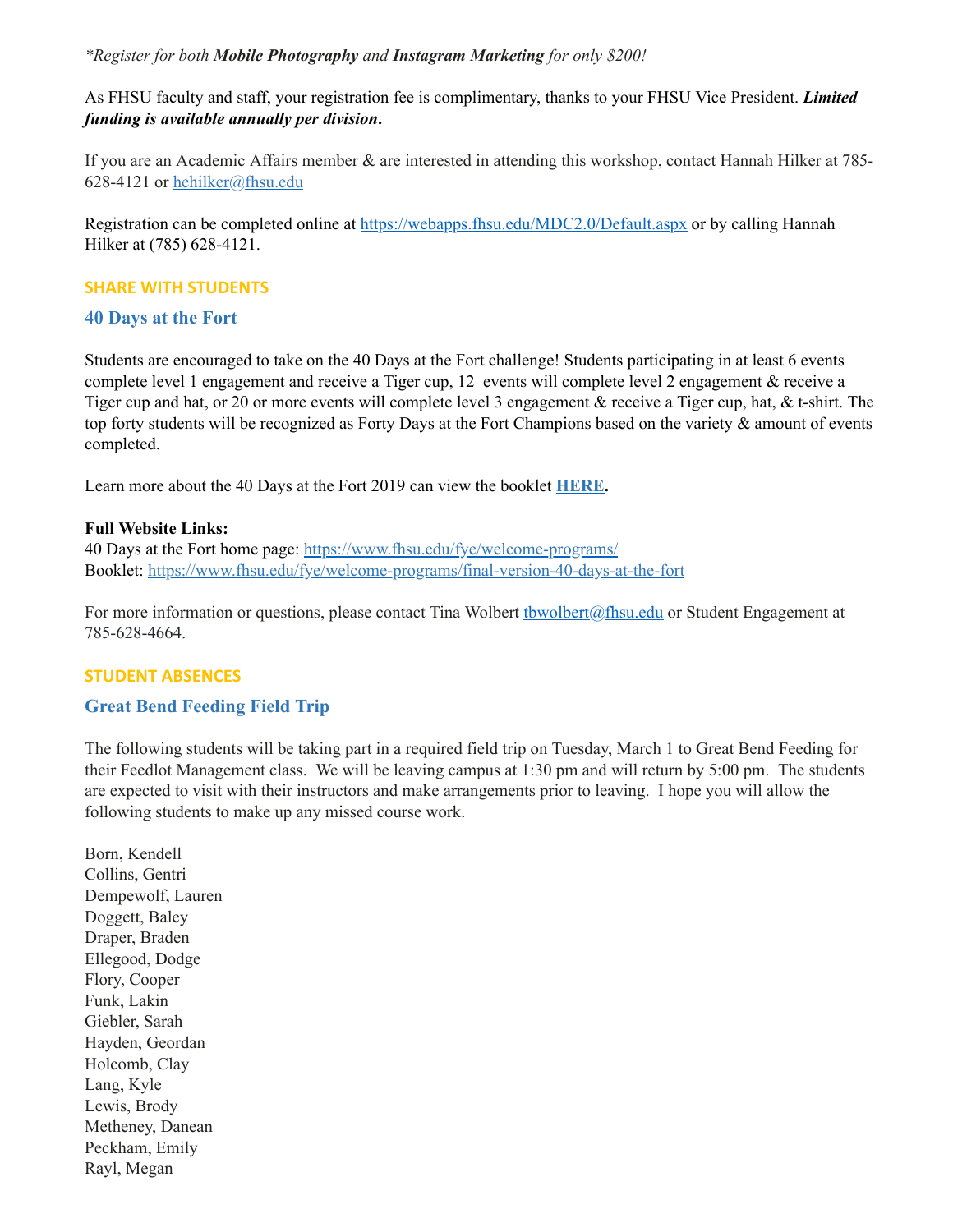#### *\*Register for both Mobile Photography and Instagram Marketing for only \$200!*

As FHSU faculty and staff, your registration fee is complimentary, thanks to your FHSU Vice President. *Limited funding is available annually per division***.**

If you are an Academic Affairs member & are interested in attending this workshop, contact Hannah Hilker at 785- 628-4121 or [hehilker@fhsu.edu](mailto:hehilker@fhsu.edu)

Registration can be completed online at <https://webapps.fhsu.edu/MDC2.0/Default.aspx> or by calling Hannah Hilker at (785) 628-4121.

#### **SHARE WITH STUDENTS**

#### <span id="page-12-0"></span>**40 Days at the Fort**

Students are encouraged to take on the 40 Days at the Fort challenge! Students participating in at least 6 events complete level 1 engagement and receive a Tiger cup, 12 events will complete level 2 engagement & receive a Tiger cup and hat, or 20 or more events will complete level 3 engagement & receive a Tiger cup, hat, & t-shirt. The top forty students will be recognized as Forty Days at the Fort Champions based on the variety & amount of events completed.

Learn more about the 40 Days at the Fort 2019 can view the booklet **[HERE](https://www.fhsu.edu/fye/welcome-programs/final-version-40-days-at-the-fort).**

#### **Full Website Links:**

40 Days at the Fort home page: <https://www.fhsu.edu/fye/welcome-programs/> Booklet: <https://www.fhsu.edu/fye/welcome-programs/final-version-40-days-at-the-fort>

For more information or questions, please contact Tina Wolbert the unit of the student Engagement at 785-628-4664.

### **STUDENT ABSENCES**

# <span id="page-12-1"></span>**Great Bend Feeding Field Trip**

The following students will be taking part in a required field trip on Tuesday, March 1 to Great Bend Feeding for their Feedlot Management class. We will be leaving campus at 1:30 pm and will return by 5:00 pm. The students are expected to visit with their instructors and make arrangements prior to leaving. I hope you will allow the following students to make up any missed course work.

Born, Kendell Collins, Gentri Dempewolf, Lauren Doggett, Baley Draper, Braden Ellegood, Dodge Flory, Cooper Funk, Lakin Giebler, Sarah Hayden, Geordan Holcomb, Clay Lang, Kyle Lewis, Brody Metheney, Danean Peckham, Emily Rayl, Megan